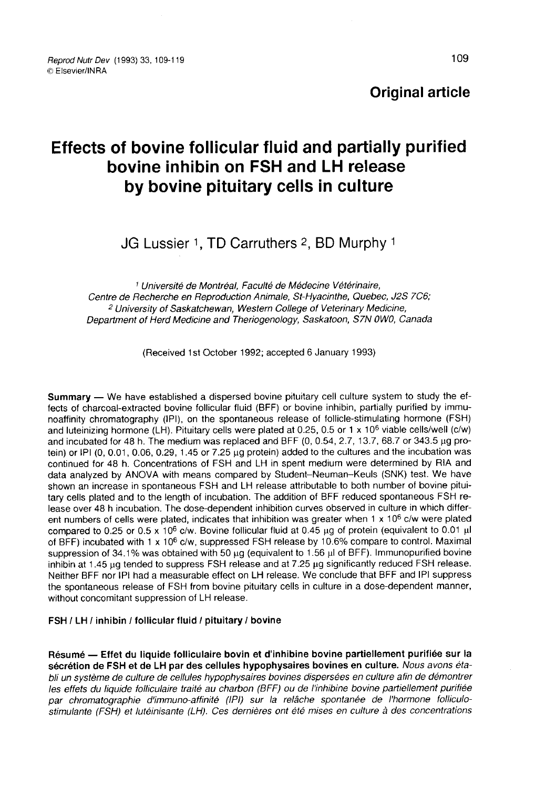# **Original article**

# Effects of bovine follicular fluid and partially purified bovine inhibin on FSH and LH release by bovine pituitary cells in culture Source inhibin on FSH and LH relearty between the parameters by bovine pituitary cells in culture<br>JG Lussier 1, TD Carruthers 2, BD Murphy

<sup>1</sup> Université de Montréal, Faculté de Médecine Vétérinaire. Centre de Recherche en Reproduction Animale, St-Hyacinthe, Quebec, J2S 7C6; <sup>2</sup> University of Saskatchewan, Western College of Veterinary Medicine, Department of Herd Medicine and Theriogenology, Saskatoon, S7N OWO, Canada

(Received 1 st October 1992; accepted 6 January 1993)

Summary — We have established a dispersed bovine pituitary cell culture system to study the effects of charcoal-extracted bovine follicular fluid (BFF) or bovine inhibin, partially purified by immunoaffinity chromatography (IPI), on the spontaneous release of follicle-stimulating hormone (FSH) fects of charcoal-extracted bovine follicular fluid (BFF) or bovine inhibin, partially purified by immu-<br>noaffinity chromatography (IPI), on the spontaneous release of follicle-stimulating hormone (FSH)<br>and luteinizing hor and incubated for 48 h. The medium was replaced and BFF (0, 0.54, 2.7, 13.7, 68.7 or 343.5 µg protein) or IPI ( $0, 0.01, 0.06, 0.29, 1.45$  or  $7.25$  µg protein) added to the cultures and the incubation was continued for 48 h. Concentrations of FSH and LH in spent medium were determined by RIA and data analyzed by ANOVA with means compared by Student-Neuman-Keuls (SNK) test. We have shown an increase in spontaneous FSH and LH release attributable to both number of bovine pituitary cells plated and to the length of incubation. The addition of BFF reduced spontaneous FSH release over 48 h incubation. The dose-dependent inhibition curves observed in culture in which different numbers of cells were plated, indicates that inhibition was greater when  $1 \times 10^6$  c/w were plated compared to 0.25 or 0.5 x 10<sup>6</sup> c/w. Bovine follicular fluid at 0.45 µg of protein (equivalent to 0.01 µ of BFF) incubated with 1 x 10<sup>6</sup> c/w, suppressed FSH release by 10.6% compare to control. Maximal suppression of 34.1% was obtained with 50  $\mu$ g (equivalent to 1.56  $\mu$ l of BFF). Immunopurified bovine inhibin at  $1.45 \mu q$  tended to suppress FSH release and at  $7.25 \mu g$  significantly reduced FSH release. Neither BFF nor IPI had a measurable effect on LH release. We conclude that BFF and IPI suppress the spontaneous release of FSH from bovine pituitary cells in culture in a dose-dependent manner, without concomitant suppression of LH release.

#### FSH / LH / inhibin / follicular fluid / pituitary / bovine

Résumé ― Effet du liquide folliculaire bovin et d'inhibine bovine partiellement purifiée sur la sécrétion de FSH et de LH par des cellules hypophysaires bovines en culture. Nous avons établi un système de culture de cellules hypophysaires bovines dispersées en culture afin de démontrer les effets du liquide folliculaire traité au charbon (BFF) ou de l'inhibine bovine partiellement purifiée par chromatographie d'immuno-affinité (IPI) sur la relâche spontanée de l'hormone folliculostimulante (FSH) et lutéinisante (LH). Ces dernières ont été mises en culture à des concentrations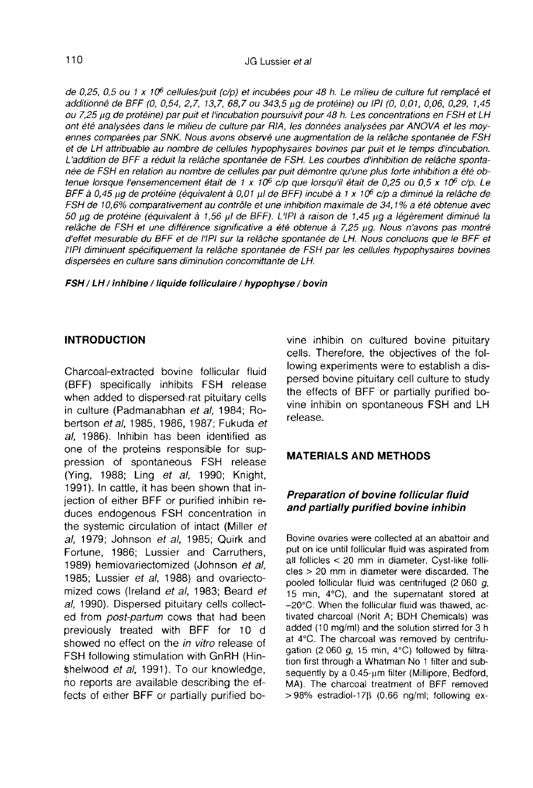de 0,25, 0,5 ou 1 x 10<sup>6</sup> cellules/puit (c/p) et incubées pour 48 h. Le milieu de culture fut remplacé et additionné de BFF (0, 0,54, 2,7, 13,7, 68,7 ou 343,5 ug de protéine) ou IPI (0, 0,01, 0,06, 0,29, 1,45 ou 7,25 ug de protéine) par puit et l'incubation poursuivit pour 48 h. Les concentrations en FSH et LH ont été analysées dans le milieu de culture par RIA, les données analysées par ANOVA et les moyennes comparées par SNK. Nous avons observé une augmentation de la relâche spontanée de FSH et de LH attribuable au nombre de cellules hypophysaires bovines par puit et le temps d'incubation. L'addition de BFF a réduit la relâche spontanée de FSH. Les courbes d'inhibition de relâche spontanée de FSH en relation au nombre de cellules par puit démontre qu'une plus forte inhibition a été ob-L'addition de BFF a réduit la relâche spontanée de FSH. Les courbes d'inhibition de relâche sponta-<br>née de FSH en relation au nombre de cellules par puit démontre qu'une plus forte inhibition a été ob-<br>tenue lorsque l'ense née de FSH en relation au nombre de cellules par puit démontre qu'une plus forte inhibition a été ob-<br>tenue lorsque l'ensemencement était de 1 x 10<sup>6</sup> c/p que lorsqu'il était de 0,25 ou 0,5 x 10<sup>6</sup> c/p. Le<br>BFF à 0,45 µg de FSH de 10,6% comparativement au contrôle et une inhibition maximale de 34,1% a été obtenue avec 50 ug de protéine (équivalent à 1,56 µl de BFF). L'IPI à raison de 1,45 µg a légèrement diminué la relâche de FSH et une différence significative a été obtenue à 7,25 µg. Nous n'avons pas montré d'effet mesurable du BFF et de l'IPI sur la relâche spontanée de LH. Nous concluons que le BFF et l'IPI diminuent spécifiquement la relâche spontanée de FSH par les cellules hypophysaires bovines dispersées en culture sans diminution concomittante de LH.

FSH / LH / inhibine / liquide folliculaire / hypophyse / bovin

#### INTRODUCTION

Charcoal-extracted bovine follicular fluid (BFF) specifically inhibits FSH release when added to dispersed rat pituitary cells in culture (Padmanabhan et al, 1984; Robertson et al, 1985, 1986, 1987; Fukuda et al, 1986). Inhibin has been identified as one of the proteins responsible for suppression of spontaneous FSH release (Ying, 1988; Ling et al, 1990; Knight, 1991). In cattle, it has been shown that injection of either BFF or purified inhibin reduces endogenous FSH concentration in the systemic circulation of intact (Miller et al, 1979; Johnson et al, 1985; Quirk and Fortune, 1986; Lussier and Carruthers, 1989) hemiovariectomized (Johnson et al, 1985; Lussier et al, 1988) and ovariectomized cows (Ireland et al, 1983; Beard et al, 1990). Dispersed pituitary cells collected from post-partum cows that had been previously treated with BFF for 10 d showed no effect on the in vitro release of FSH following stimulation with GnRH (Hin- \$helwood et al, 1991). To our knowledge, no reports are available describing the effects of either BFF or partially purified bovine inhibin on cultured bovine pituitary cells. Therefore, the objectives of the following experiments were to establish a dispersed bovine pituitary cell culture to study the effects of BFF or partially purified bovine inhibin on spontaneous FSH and LH release.

#### MATERIALS AND METHODS

### Preparation of bovine follicular fluid and partially purified bovine inhibin

Bovine ovaries were collected at an abattoir and put on ice until follicular fluid was aspirated from all follicles < 20 mm in diameter. Cyst-like follicles > 20 mm in diameter were discarded. The pooled follicular fluid was centrifuged (2 060 g, 15 min, 4°C), and the supernatant stored at -20°C. When the follicular fluid was thawed, activated charcoal (Norit A; BDH Chemicals) was added (10 mg/ml) and the solution stirred for 3 h at 4°C. The charcoal was removed by centrifugation (2 060  $g$ , 15 min, 4 $\degree$ C) followed by filtration first through a Whatman No 1 filter and subsequently by a  $0.45$ - $\mu$ m filter (Millipore, Bedford, MA). The charcoal treatment of BFF removed  $> 98\%$  estradiol-17 $\beta$  (0.66 ng/ml; following ex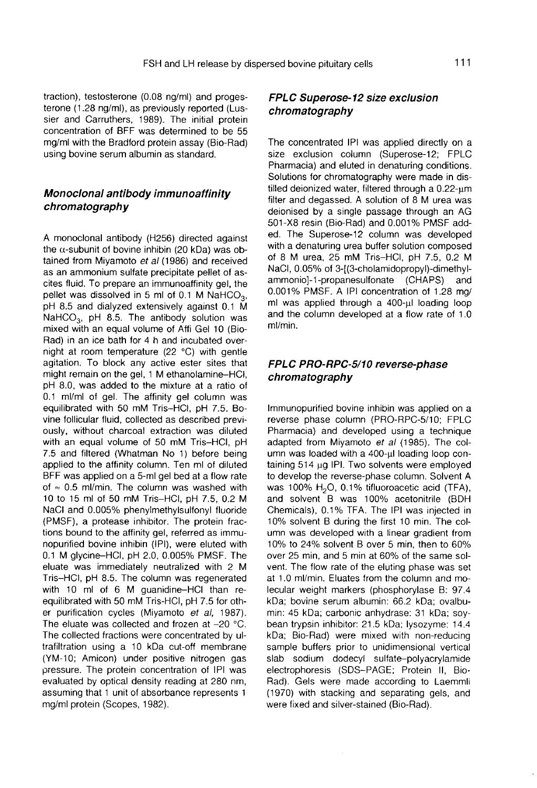traction), testosterone (0.08 ng/ml) and proges terone (1.28 ng/ml), as previously reported (Lussier and Carruthers, 1989). The initial protein concentration of BFF was determined to be 55 mg/ml with the Bradford protein assay (Bio-Rad) using bovine serum albumin as standard.

# Monoclonal antibody immunoaffinity chromatography

A monoclonal antibody (H256) directed against the  $\alpha$ -subunit of bovine inhibin (20 kDa) was obtained from Miyamoto et al (1986) and received as an ammonium sulfate precipitate pellet of ascites fluid. To prepare an immunoaffinity gel, the pellet was dissolved in 5 ml of 0.1 the d-subdition of bovine infinite (20 KDa) was obtained from Miyamoto *et al* (1986) and received as an ammonium sulfate precipitate pellet of ascites fluid. To prepare an immunoaffinity gel, the pellet was dissolved in as an announcement sunate precipitate penet of as-<br>cites fluid. To prepare an immunoaffinity gel, the<br>pellet was dissolved in 5 ml of 0.1 M NaHCO<sub>3</sub>,<br>pH 8.5. The antibody solution was<br>mixed with an equal volume of Affi Ge mixed with an equal volume of Affi Gel 10 (Bio-Rad) in an ice bath for 4 h and incubated overnight at room temperature (22 °C) with gentle agitation. To block any active ester sites that might remain on the gel, 1 M ethanolamine-HCI, pH 8.0, was added to the mixture at a ratio of 0.1 ml/ml of gel. The affinity gel column was equilibrated with 50 mM Tris-HCI, pH 7.5. Bovine follicular fluid, collected as described previously, without charcoal extraction was diluted with an equal volume of 50 mM Tris-HCI, pH 7.5 and filtered (Whatman No 1) before being applied to the affinity column. Ten ml of diluted BFF was applied on a 5-ml gel bed at a flow rate of  $\approx$  0.5 ml/min. The column was washed with 10 to 15 ml of 50 mM Tris-HCI, pH 7.5, 0.2 M NaCl and 0.005% phenylmethylsulfonyl fluoride (PMSF), a protease inhibitor. The protein fractions bound to the affinity gel, referred as immunopurified bovine inhibin (IPI), were eluted with 0.1 M glycine-HCI, pH 2.0, 0.005% PMSF. The eluate was immediately neutralized with 2 M Tris-HCI, pH 8.5. The column was regenerated with 10 ml of 6 M guanidine-HCI than reequilibrated with 50 mM Tris-HCI, pH 7.5 for other purification cycles (Miyamoto et al, 1987). The eluate was collected and frozen at  $-20$  °C. The collected fractions were concentrated by ultrafiltration using a 10 kDa cut-off membrane (YM-10; Amicon) under positive nitrogen gas pressure. The protein concentration of IPI was evaluated by optical density reading at 280 nm, assuming that 1 unit of absorbance represents 1 mg/ml protein (Scopes, 1982).

# FPLC Superose-12 size exclusion chromatography

The concentrated IPI was applied directly on a size exclusion column (Superose-12; FPLC Pharmacia) and eluted in denaturing conditions. Solutions for chromatography were made in dis $tilled$  deionized water, filtered through a  $0.22$ -um filter and degassed. A solution of 8 M urea was deionised by a single passage through an AG 501-X8 resin (Bio-Rad) and 0.001% PMSF added. The Superose-12 column was developed with a denaturing urea buffer solution composed of 8 M urea, 25 mM Tris-HCI, pH 7.5, 0.2 M NaCl, 0.05% of 3-[(3-cholamidopropyl)-dimethylammonio]-1-propanesulfonate (CHAPS) 0.001% PMSF. A IPI concentration of 1.28 mg/ ml was applied through a 400-ul loading loop and the column developed at a flow rate of 1.0 ml/min.

# FPLC PRO-RPC-5/10 reverse-phase chromatography

Immunopurified bovine inhibin was applied on a reverse phase column (PRO-RPC-5/10; FPLC Pharmacia) and developed using a technique adapted from Miyamoto et al (1985). The column was loaded with a 400-ul loading loop containing  $514 \mu g$  IPI. Two solvents were employed to develop the reverse-phase column. Solvent A was 100%  $H<sub>2</sub>O$ , 0.1% tifluoroacetic acid (TFA), and solvent B was 100% acetonitrile (BDH Chemicals), 0.1% TFA. The IPI was injected in 10% solvent B during the first 10 min. The column was developed with a linear gradient from 10% to 24% solvent B over 5 min, then to 60% over 25 min, and 5 min at 60% of the same solvent. The flow rate of the eluting phase was set at 1.0 ml/min. Eluates from the column and molecular weight markers (phosphorylase B: 97.4 kDa; bovine serum albumin: 66.2 kDa; ovalbumin: 45 kDa; carbonic anhydrase: 31 kDa; soybean trypsin inhibitor: 21.5 kDa; lysozyme: 14.4 kDa; Bio-Rad) were mixed with non-reducing sample buffers prior to unidimensional vertical slab sodium dodecyl sulfate-polyacrylamide electrophoresis (SDS-PAGE; Protein 11, Bio-Rad). Gels were made according to Laemmli (1970) with stacking and separating gels, and were fixed and silver-stained (Bio-Rad).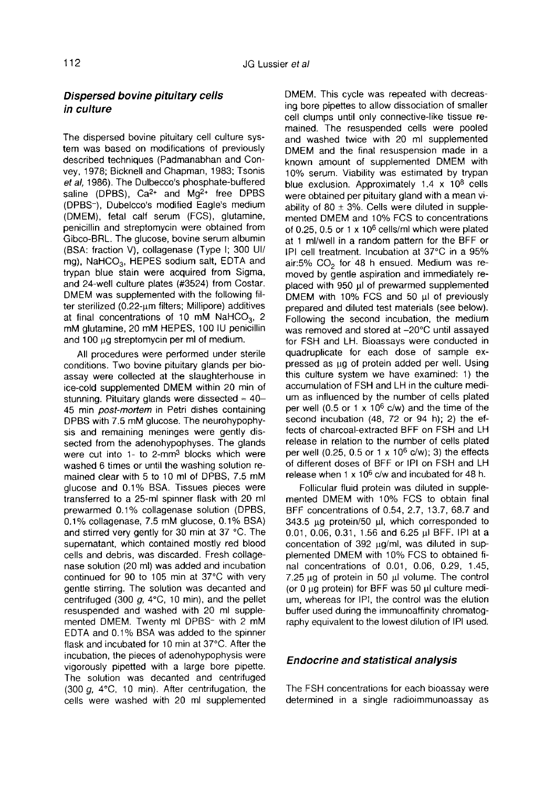# Dispersed bovine pituitary cells in culture

The dispersed bovine pituitary cell culture system was based on modifications of previously described techniques (Padmanabhan and Convey, 1978; Bicknell and Chapman, 1983; Tsonis et al, 1986). The Dulbecco's phosphate-buffered saline (DPBS),  $Ca^{2+}$  and  $Ma^{2+}$  free DPBS (DPBS-), Dubelcco's modified Eagle's medium (DMEM), fetal calf serum (FCS), glutamine, penicillin and streptomycin were obtained from<br>Gibco-BRL. The glucose, bovine serum albumin<br>(BSA: fraction V), collagenase (Type I; 300 UI/<br>mg), NaHCO<sub>3</sub>, HEPES sodium salt, EDTA and<br>trypan blue stain were acquired from Si Gibco-BRL. The glucose, bovine serum albumin (BSA: fraction V), collagenase (Type I; 300 UI/ mg), NaHCO<sub>3</sub>, HEPES sodium salt, EDTA and trypan blue stain were acquired from Sigma, and 24-well culture plates (#3524) from Costar. DMEM was supplemented with the following fil $t$ er sterilized (0.22- $\upmu$ m filters; Millipore) additives rypan blue stain were acquired from Signia,<br>and 24-well culture plates (#3524) from Costar.<br>DMEM was supplemented with the following fil-<br>ter sterilized (0.22-µm filters; Millipore) additives<br>at final concentrations of 10 mM glutamine, 20 mM HEPES, 100 IU penicillin and 100 ug streptomycin per ml of medium.

All procedures were performed under sterile conditions. Two bovine pituitary glands per bioassay were collected at the slaughterhouse in ice-cold supplemented DMEM within 20 min of assay were collected at the slaughterhouse in<br>ice-cold supplemented DMEM within 20 min of<br>stunning. Pituitary glands were dissected  $\approx 40-1$ 45 min post-mortem in Petri dishes containing DPBS with 7.5 mM glucose. The neurohypophy-Sis and remaining meninges were gently dis-<br>sected from the adenohypophyses. The glands<br>were cut into 1- to 2-mm<sup>3</sup> blocks which were<br>were cut into 1- to 2-mm<sup>3</sup> blocks which were washed 6 times or until the washing solution remained clear with 5 to 10 ml of DPBS, 7.5 mM glucose and 0.1% BSA. Tissues pieces were transferred to a 25-ml spinner flask with 20 ml prewarmed 0.1% collagenase solution (DPBS, 0.1% collagenase, 7.5 mM glucose, 0.1% BSA) and stirred very gently for 30 min at 37 °C. The supernatant, which contained mostly red blood cells and debris, was discarded. Fresh collage nase solution (20 ml) was added and incubation continued for 90 to 105 min at 37°C with very gentle stirring. The solution was decanted and centrifuged (300 g, 4°C, 10 min), and the pellet resuspended and washed with 20 ml supplemented DMEM. Twenty ml DPBS- with 2 mM EDTA and 0.1% BSA was added to the spinner flask and incubated for 10 min at 37°C. After the incubation, the pieces of adenohypophysis were vigorously pipetted with a large bore pipette. The solution was decanted and centrifuged (300 g, 4°C, 10 min). After centrifugation, the cells were washed with 20 ml supplemented

DMEM. This cycle was repeated with decreasing bore pipettes to allow dissociation of smaller cell clumps until only connective-like tissue remained. The resuspended cells were pooled<br>and washed twice with 20 ml supplemented DMEM and the final resuspension made in a known amount of supplemented DMEM with 10% serum. Viability was estimated by trypan blue exclusion. Approximately  $1.4 \times 10^8$  cells were obtained per pituitary gland with a mean viability of 80  $\pm$  3%. Cells were diluted in supplemented DMEM and 10% FCS to concentrations of 0.25, 0.5 or 1 x 10<sup>6</sup> cells/ml which were plated at 1 ml/well in a random pattern for the BFF or IPI cell treatment. Incubation at 37°C in a 95% air:5% C02 for 48 h ensued. Medium was removed by gentle aspiration and immediately re-<br>placed with 950 µl of prewarmed supplemented DMEM with 10% FCS and 50  $\mu$  of previously prepared and diluted test materials (see below). Following the second incubation, the medium was removed and stored at -20°C until assayed for FSH and LH. Bioassays were conducted in quadruplicate for each dose of sample expressed as µg of protein added per well. Using this culture system we have examined: 1) the accumulation of FSH and LH in the culture medium as influenced by the number of cells plated per well (0.5 or 1  $\times$  10<sup>6</sup> c/w) and the time of the second incubation (48, 72 or 94 h); 2) the effects of charcoal-extracted BFF on FSH and LH release in relation to the number of cells plated per well (0.25, 0.5 or 1 x  $10^6$  c/w); 3) the effects of different doses of BFF or IPI on FSH and LH release when  $1 \times 10^6$  c/w and incubated for 48 h.

Follicular fluid protein was diluted in supplemented DMEM with 10% FCS to obtain final BFF concentrations of 0.54, 2.7, 13.7, 68.7 and 343.5 µg protein/50 µl, which corresponded to 0.01, 0.06, 0.31, 1.56 and 6.25  $\mu$ I BFF. IPI at a concentation of  $392 \mu q/ml$ , was diluted in supplemented DMEM with 10% FCS to obtained final concentrations of 0.01, 0.06, 0.29, 1.45,  $7.25 \mu g$  of protein in 50  $\mu l$  volume. The control (or  $0$  ug protein) for BFF was  $50$   $\mu$  culture medium, whereas for IPI, the control was the elution buffer used during the immunoaffinity chromatography equivalent to the lowest dilution of IPI used.

# Endocrine and statistical analysis

The FSH concentrations for each bioassay were determined in a single radioimmunoassay as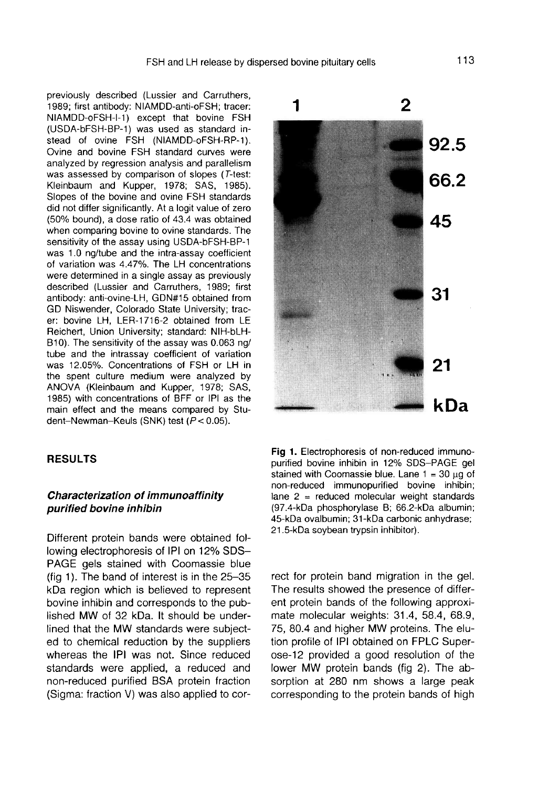previously described (Lussier and Carruthers, 1989; first antibody: NIAMDD-anti-oFSH; tracer: NIAMDD-oFSH-1-1) except that bovine FSH (USDA-bFSH-BP-1) was used as standard instead of ovine FSH (NIAMDD-oFSH-RP-1). Ovine and bovine FSH standard curves were analyzed by regression analysis and parallelism was assessed by comparison of slopes (T-test: Kleinbaum and Kupper, 1978; SAS, 1985). Slopes of the bovine and ovine FSH standards did not differ significantly. At a logit value of zero (50% bound), a dose ratio of 43.4 was obtained when comparing bovine to ovine standards. The sensitivity of the assay using USDA-bFSH-BP-1 was 1.0 ng/tube and the intra-assay coefficient of variation was 4.47%. The LH concentrations were determined in a single assay as previously described (Lussier and Carruthers, 1989; first antibody: anti-ovine-LH, GDN#15 obtained from GD Niswender, Colorado State University; tracer: bovine LH, LER-1716-2 obtained from LE Reichert, Union University; standard: NIH-bLH-B10). The sensitivity of the assay was 0.063 ng/ tube and the intrassay coefficient of variation was 12.05%. Concentrations of FSH or LH in the spent culture medium were analyzed by ANOVA (Kleinbaum and Kupper, 1978; SAS, 1985) with concentrations of BFF or IPI as the main effect and the means compared by Student-Newman-Keuls (SNK) test (P< 0.05).

# RESULTS

# Characterization of immunoaffinity purified bovine inhibin

Different protein bands were obtained following electrophoresis of IPI on 12% SDS-PAGE gels stained with Coomassie blue (fig 1). The band of interest is in the  $25-35$ kDa region which is believed to represent bovine inhibin and corresponds to the published MW of 32 kDa. It should be underlined that the MW standards were subjected to chemical reduction by the suppliers whereas the IPI was not. Since reduced standards were applied, a reduced and non-reduced purified BSA protein fraction (Sigma: fraction V) was also applied to cor-



Fig 1. Electrophoresis of non-reduced immunopurified bovine inhibin in 12% SDS-PAGE gel stained with Coomassie blue. Lane  $1 = 30 \mu g$  of non-reduced immunopurified bovine inhibin; lane  $2$  = reduced molecular weight standards (97.4-kDa phosphorylase B; 66.2-kDa albumin; 45-kDa ovalbumin; 31-kDa carbonic anhydrase; 21.5-kDa soybean trypsin inhibitor).

rect for protein band migration in the gel. The results showed the presence of different protein bands of the following approximate molecular weights: 31.4, 58.4, 68.9, 75, 80.4 and higher MW proteins. The elution profile of IPI obtained on FPLC Superose-12 provided a good resolution of the lower MW protein bands (fig 2). The absorption at 280 nm shows a large peak corresponding to the protein bands of high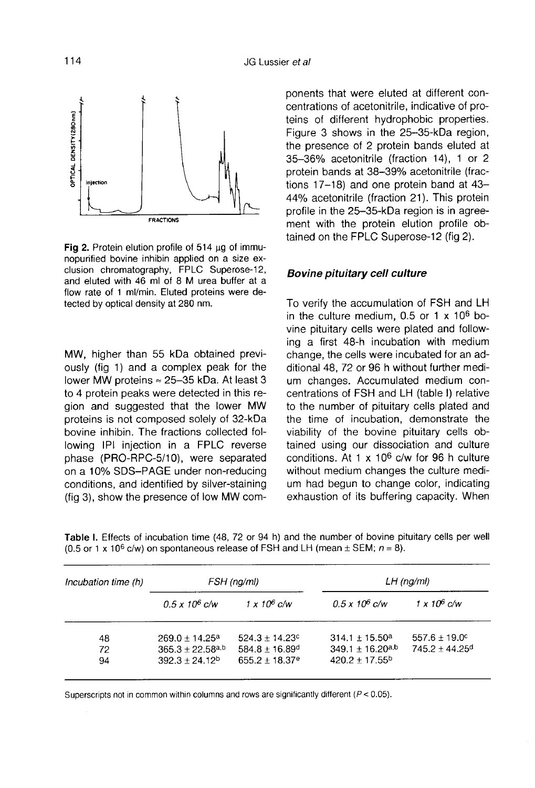

Fig 2. Protein elution profile of 514 µg of immunopurified bovine inhibin applied on a size exclusion chromatography, FPLC Superose-12, and eluted with 46 ml of 8 M urea buffer at a flow rate of 1 ml/min. Eluted proteins were detected by optical density at 280 nm.

MW, higher than 55 kDa obtained previously (fig 1) and a complex peak for the MW, higher than 55 kDa obtained previously (fig 1) and a complex peak for the lower MW proteins  $\approx$  25–35 kDa. At least 3 to 4 protein peaks were detected in this reto 4 protein peaks were detected in this region and suggested that the lower MW proteins is not composed solely of 32-kDa bovine inhibin. The fractions collected following IPI injection in a FPLC reverse<br>phase (PRO-RPC-5/10), were separated on a 10% SDS-PAGE under non-reducing conditions, and identified by silver-staining (fig 3), show the presence of low MW components that were eluted at different concentrations of acetonitrile, indicative of proteins of different hydrophobic properties. Figure 3 shows in the 25-35-kDa region, the presence of 2 protein bands eluted at 35-36% acetonitrile (fraction 14), 1 or 2 protein bands at 38-39% acetonitrile (fractions 17-18) and one protein band at 43-44% acetonitrile (fraction 21). This protein profile in the 25-35-kDa region is in agreement with the protein elution profile obtained on the FPLC Superose-12 (fig 2).

### Bovine pituitary cell culture

To verify the accumulation of FSH and LH in the culture medium,  $0.5$  or 1 x  $10^6$  bovine pituitary cells were plated and following a first 48-h incubation with medium change, the cells were incubated for an additional 48, 72 or 96 h without further medium changes. Accumulated medium concentrations of FSH and LH (table I) relative to the number of pituitary cells plated and the time of incubation, demonstrate the viability of the bovine pituitary cells obtained using our dissociation and culture conditions. At 1  $\times$  10<sup>6</sup> c/w for 96 h culture without medium changes the culture medium had begun to change color, indicating exhaustion of its buffering capacity. When

| Incubation time (h) | FSH (ng/ml)           |                              | $LH$ (ng/ml)                     |                              |
|---------------------|-----------------------|------------------------------|----------------------------------|------------------------------|
|                     | $0.5 \times 10^6$ c/w | $1 \times 10^6$ c/w          | $0.5 \times 10^6$ c/w            | $1 \times 10^6$ c/w          |
| 48                  | $269.0 + 14.25^a$     | $524.3 \pm 14.23^{\circ}$    | $314.1 \pm 15.50^a$              | $557.6 + 19.0^{\circ}$       |
| 72                  | $365.3 + 22.58a,b$    | $584.8 + 16.89$ <sup>d</sup> | $349.1 \pm 16.20$ <sup>a,b</sup> | $745.2 + 44.25$ <sup>d</sup> |
| 94                  | $392.3 + 24.12b$      | $655.2 + 18.37$ <sup>e</sup> | $420.2 + 17.55^{b}$              |                              |

Table I. Effects of incubation time (48, 72 or 94 h) and the number of bovine pituitary cells per well (0.5 or 1 x 10<sup>6</sup> c/w) on spontaneous release of FSH and LH (mean  $\pm$  SEM;  $n = 8$ ).

Superscripts not in common within columns and rows are significantly different ( $P < 0.05$ ).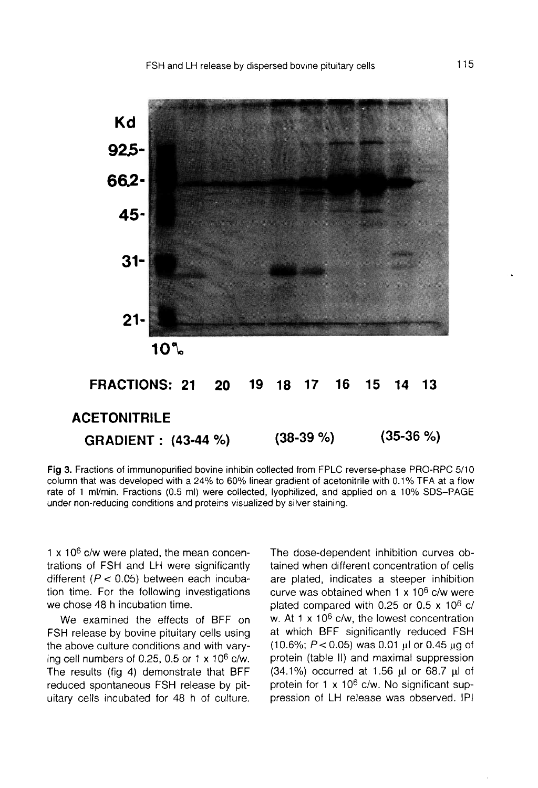

Fig 3. Fractions of immunopurified bovine inhibin collected from FPLC reverse-phase PRO-RPC 5/10 column that was developed with a 24% to 60% linear gradient of acetonitrile with 0.1% TFA at a flow rate of 1 ml/min. Fractions (0.5 ml) were collected, lyophilized, and applied on a 10% SDS-PAGE under non-reducing conditions and proteins visualized by silver staining.

 $1 \times 10^6$  c/w were plated, the mean concentrations of FSH and LH were significantly different ( $P < 0.05$ ) between each incubation time. For the following investigations we chose 48 h incubation time.

We examined the effects of BFF on FSH release by bovine pituitary cells using the above culture conditions and with varying cell numbers of 0.25, 0.5 or 1  $\times$  10<sup>6</sup> c/w. The results (fig 4) demonstrate that BFF reduced spontaneous FSH release by pituitary cells incubated for 48 h of culture. The dose-dependent inhibition curves obtained when different concentration of cells are plated, indicates a steeper inhibition curve was obtained when  $1 \times 10^6$  c/w were plated compared with 0.25 or 0.5  $\times$  10<sup>6</sup> c/ w. At 1  $\times$  10<sup>6</sup> c/w, the lowest concentration at which BFF significantly reduced FSH (10.6%;  $P < 0.05$ ) was 0.01 µl or 0.45 µg of protein (table 11) and maximal suppression  $(34.1\%)$  occurred at 1.56  $\mu$ l or 68.7  $\mu$ l of protein for 1  $\times$  10<sup>6</sup> c/w. No significant suppression of LH release was observed. IPI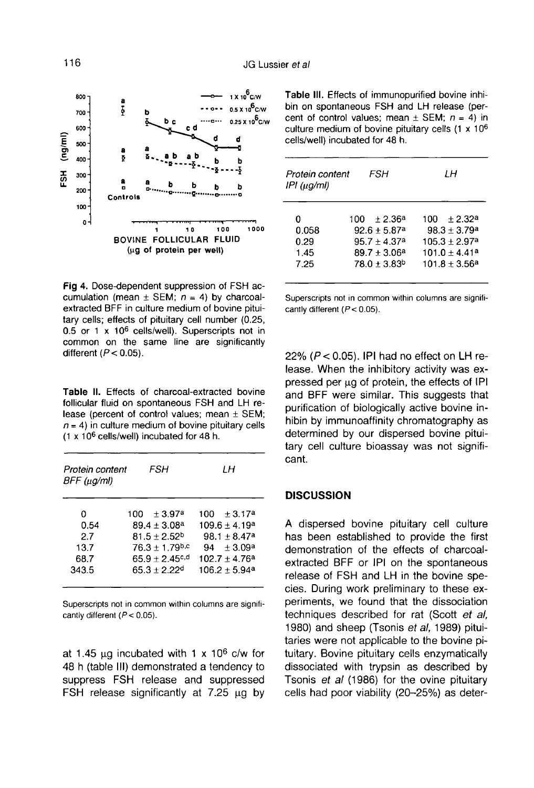

Fig 4. Dose-dependent suppression of FSH accumulation (mean  $\pm$  SEM;  $n = 4$ ) by charcoalextracted BFF in culture medium of bovine pituitary cells; effects of pituitary cell number (0.25, 0.5 or 1 x 10<sup>6</sup> cells/well). Superscripts not in common on the same line are significantly different ( $P < 0.05$ ).

Table II. Effects of charcoal-extracted bovine follicular fluid on spontaneous FSH and LH release (percent of control values; mean  $\pm$  SEM;  $n = 4$ ) in culture medium of bovine pituitary cells  $(1 \times 10^6 \text{ cells/well})$  incubated for 48 h.

| Protein content<br>BFF (µg/ml) | FSH                          | IΗ              |
|--------------------------------|------------------------------|-----------------|
| 0                              | $100 + 3.97a$                | $100 + 3.17a$   |
| 0.54                           | $89.4 \pm 3.08^a$            | $109.6 + 4.19a$ |
| 2.7                            | $81.5 + 2.52b$               | $98.1 + 8.47a$  |
| 13.7                           | $76.3 \pm 1.79$ b,c          | $94 + 3.09^a$   |
| 68.7                           | $65.9 + 2.45$ <sup>c,d</sup> | $102.7 + 4.76a$ |
| 343.5                          | $65.3 + 2.22$ <sup>d</sup>   | $106.2 + 5.94a$ |

Superscripts not in common within columns are significantly different ( $P < 0.05$ ).

at 1.45  $\mu$ g incubated with 1 x 10<sup>6</sup> c/w for 48 h (table III) demonstrated a tendency to suppress FSH release and suppressed FSH release significantly at  $7.25$   $\mu$ g by

Table III. Effects of immunopurified bovine inhibin on spontaneous FSH and LH release (percent of control values; mean  $\pm$  SEM;  $n = 4$ ) in culture medium of bovine pituitary cells (1 x 10<sup>6</sup>) cells/well) incubated for 48 h.

| Protein content<br>$IPI$ ( $\mu$ g/ml) | FSH                        | LΗ                 |
|----------------------------------------|----------------------------|--------------------|
| n                                      | $100 + 2.36a$              | $100 + 2.32a$      |
| 0.058                                  | $92.6 + 5.87$ <sup>a</sup> | $98.3 + 3.79a$     |
| 0.29                                   | $95.7 + 4.37a$             | $105.3 + 2.97a$    |
| 1.45                                   | $89.7 + 3.06a$             | $101.0 \pm 4.41^a$ |
| 7 25                                   | $78.0 + 3.83b$             | $101.8 + 3.56a$    |

Superscripts not in common within columns are significantly different ( $P < 0.05$ ).

22% ( $P < 0.05$ ). IPI had no effect on LH release. When the inhibitory activity was expressed per ug of protein, the effects of IPI and BFF were similar. This suggests that purification of biologically active bovine inhibin by immunoaffinity chromatography as determined by our dispersed bovine pituitary cell culture bioassay was not significant.

#### **DISCUSSION**

A dispersed bovine pituitary cell culture has been established to provide the first demonstration of the effects of charcoalextracted BFF or IPI on the spontaneous release of FSH and LH in the bovine species. During work preliminary to these experiments, we found that the dissociation techniques described for rat (Scott et al, 1980) and sheep (Tsonis et al, 1989) pituitaries were not applicable to the bovine pituitary. Bovine pituitary cells enzymatically dissociated with trypsin as described by Tsonis et al (1986) for the ovine pituitary cells had poor viability (20-25%) as deter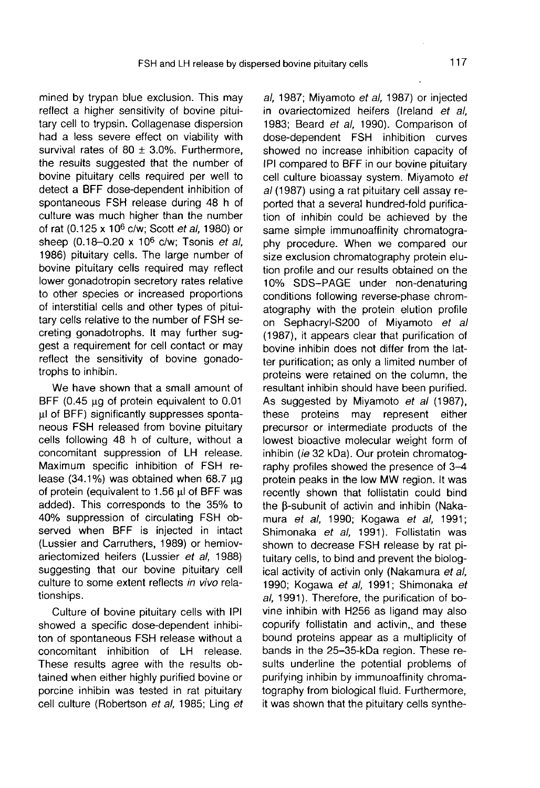mined by trypan blue exclusion. This may reflect a higher sensitivity of bovine pituitary cell to trypsin. Collagenase dispersion had a less severe effect on viability with survival rates of 80  $\pm$  3.0%. Furthermore, the results suggested that the number of bovine pituitary cells required per well to detect a BFF dose-dependent inhibition of spontaneous FSH release during 48 h of culture was much higher than the number of rat (0.125 x 10<sup>6</sup> c/w; Scott et al, 1980) or sheep (0.18-0.20 x 10<sup>6</sup> c/w; Tsonis et al, 1986) pituitary cells. The large number of bovine pituitary cells required may reflect lower gonadotropin secretory rates relative to other species or increased proportions of interstitial cells and other types of pituitary cells relative to the number of FSH secreting gonadotrophs. It may further suggest a requirement for cell contact or may reflect the sensitivity of bovine gonadotrophs to inhibin.

We have shown that a small amount of BFF (0.45  $\mu$ g of protein equivalent to 0.01 µI of BFF) significantly suppresses spontaneous FSH released from bovine pituitary cells following 48 h of culture, without a concomitant suppression of LH release. Maximum specific inhibition of FSH release (34.1%) was obtained when  $68.7 \mu g$ of protein (equivalent to 1.56 µl of BFF was added). This corresponds to the 35% to 40% suppression of circulating FSH observed when BFF is injected in intact (Lussier and Carruthers, 1989) or hemiovariectomized heifers (Lussier et al, 1988) suggesting that our bovine pituitary cell culture to some extent reflects in vivo relationships.

Culture of bovine pituitary cells with IPI showed a specific dose-dependent inhibiton of spontaneous FSH release without a concomitant inhibition of LH release. These results agree with the results obtained when either highly purified bovine or porcine inhibin was tested in rat pituitary cell culture (Robertson et al, 1985; Ling et

al, 1987; Miyamoto et al, 1987) or injected in ovariectomized heifers (Ireland et al, 1983; Beard et al, 1990). Comparison of dose-dependent FSH inhibition curves showed no increase inhibition capacity of IPI compared to BFF in our bovine pituitary cell culture bioassay system. Miyamoto et al (1987) using a rat pituitary cell assay reported that a several hundred-fold purification of inhibin could be achieved by the same simple immunoaffinity chromatography procedure. When we compared our size exclusion chromatography protein elution profile and our results obtained on the 10% SDS-PAGE under non-denaturing conditions following reverse-phase chromatography with the protein elution profile on Sephacryl-S200 of Miyamoto et al (1987), it appears clear that purification of bovine inhibin does not differ from the latter purification; as only a limited number of proteins were retained on the column, the resultant inhibin should have been purified. As suggested by Miyamoto et al (1987), these proteins may represent either precursor or intermediate products of the lowest bioactive molecular weight form of inhibin (ie 32 kDa). Our protein chromatography profiles showed the presence of 3-4 protein peaks in the low MW region. It was recently shown that follistatin could bind the B-subunit of activin and inhibin (Nakamura et al, 1990; Kogawa et al, 1991; Shimonaka et al, 1991). Follistatin was shown to decrease FSH release by rat pituitary cells, to bind and prevent the biological activity of activin only (Nakamura et al, 1990; Kogawa et al, 1991; Shimonaka et al, 1991). Therefore, the purification of bovine inhibin with H256 as ligand may also copurify follistatin and activin,, and these bound proteins appear as a multiplicity of bands in the 25-35-kDa region. These results underline the potential problems of purifying inhibin by immunoaffinity chromatography from biological fluid. Furthermore, it was shown that the pituitary cells synthe-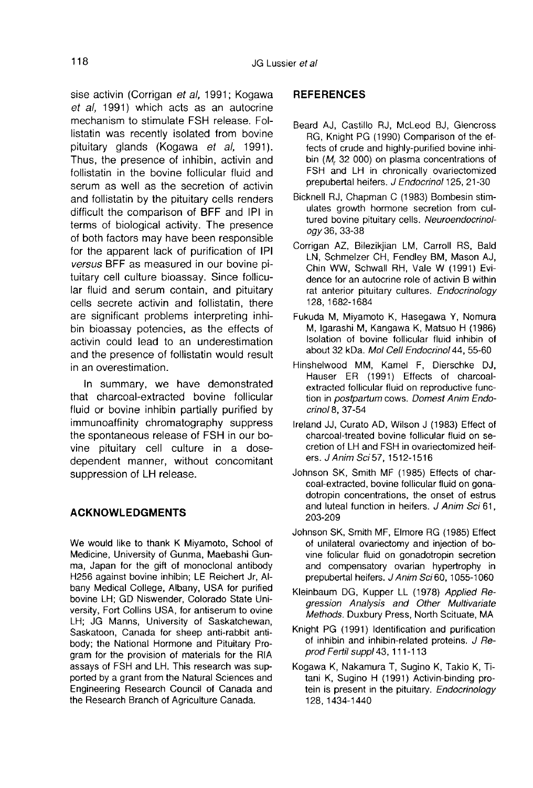sise activin (Corrigan et al, 1991; Kogawa et al, 1991) which acts as an autocrine mechanism to stimulate FSH release. Follistatin was recently isolated from bovine pituitary glands (Kogawa et al, 1991). Thus, the presence of inhibin, activin and follistatin in the bovine follicular fluid and serum as well as the secretion of activin and follistatin by the pituitary cells renders difficult the comparison of BFF and IPI in terms of biological activity. The presence of both factors may have been responsible for the apparent lack of purification of IPI versus BFF as measured in our bovine pituitary cell culture bioassay. Since follicular fluid and serum contain, and pituitary cells secrete activin and follistatin, there are significant problems interpreting inhibin bioassay potencies, as the effects of activin could lead to an underestimation and the presence of follistatin would result in an overestimation.

In summary, we have demonstrated that charcoal-extracted bovine follicular fluid or bovine inhibin partially purified by immunoaffinity chromatography suppress the spontaneous release of FSH in our bovine pituitary cell culture in a dosedependent manner, without concomitant suppression of LH release.

# ACKNOWLEDGMENTS

We would like to thank K Miyamoto, School of Medicine, University of Gunma, Maebashi Gunma, Japan for the gift of monoclonal antibody H256 against bovine inhibin; LE Reichert Jr, Albany Medical College, Albany, USA for purified bovine LH; GD Niswender, Colorado State University, Fort Collins USA, for antiserum to ovine LH; JG Manns, University of Saskatchewan, Saskatoon, Canada for sheep anti-rabbit antibody; the National Hormone and Pituitary Program for the provision of materials for the RIA assays of FSH and LH. This research was supported by a grant from the Natural Sciences and Engineering Research Council of Canada and the Research Branch of Agriculture Canada.

#### REFERENCES

- Beard AJ, Castillo RJ, McLeod BJ, Glencross RG, Knight PG (1990) Comparison of the effects of crude and highly-purified bovine inhibin  $(M, 32,000)$  on plasma concentrations of FSH and LH in chronically ovariectomized prepubertal heifers. J Endocrinol 125, 21-30
- Bicknell RJ, Chapman C (1983) Bombesin stimulates growth hormone secretion from cultured bovine pituitary cells. Neuroendocrinology 36, 33-38
- Corrigan AZ, Bilezikjian LM, Carroll RS, Bald LN, Schmelzer CH, Fendley BM, Mason AJ, Chin WW, Schwall RH, Vale W (1991) Evidence for an autocrine role of activin B within rat anterior pituitary cultures. Endocrinology 128, 1682-1684
- Fukuda M, Miyamoto K, Hasegawa Y, Nomura M, lgarashi M, Kangawa K, Matsuo H (1986) Isolation of bovine follicular fluid inhibin of about 32 kDa. Mol Cell Endocrinol 44, 55-60
- Hinshelwood MM, Kamel F, Dierschke DJ, Hauser ER (1991) Effects of charcoalextracted follicular fluid on reproductive function in postpartum cows. Domest Anim Endocrinol8, 37-54
- Ireland JJ, Curato AD, Wilson J (1983) Effect of charcoal-treated bovine follicular fluid on secretion of LH and FSH in ovariectomized heifers. J Anim Sci 57, 1512-1516
- Johnson SK, Smith MF (1985) Effects of charcoal-extracted, bovine follicular fluid on gonadotropin concentrations, the onset of estrus and luteal function in heifers. J Anim Sci 61, 203-209
- Johnson SK, Smith MF, Elmore RG (1985) Effect of unilateral ovariectomy and injection of bovine folicular fluid on gonadotropin secretion and compensatory ovarian hypertrophy in prepubertal heifers. J Anim Sci 60, 1055-1060
- Kleinbaum DG, Kupper LL (1978) Applied Regression Analysis and Other Multivariate Methods. Duxbury Press, North Scituate, MA
- Knight PG (1991) Identification and purification of inhibin and inhibin-related proteins. J Reprod Fertil suppl43, 111-113
- Kogawa K, Nakamura T, Sugino K, Takio K, Titani K, Sugino H (1991) Activin-binding protein is present in the pituitary. Endocrinology 128, 1434-1440